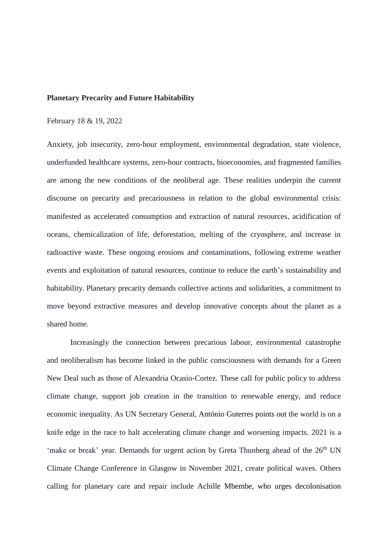#### **Planetary Precarity and Future Habitability**

#### February 18 & 19, 2022

Anxiety, job insecurity, zero-hour employment, environmental degradation, state violence, underfunded healthcare systems, zero-hour contracts, bioeconomies, and fragmented families are among the new conditions of the neoliberal age. These realities underpin the current discourse on precarity and precariousness in relation to the global environmental crisis: manifested as accelerated consumption and extraction of natural resources, acidification of oceans, chemicalization of life, deforestation, melting of the cryosphere, and increase in radioactive waste. These ongoing erosions and contaminations, following extreme weather events and exploitation of natural resources, continue to reduce the earth's sustainability and habitability. Planetary precarity demands collective actions and solidarities, a commitment to move beyond extractive measures and develop innovative concepts about the planet as a shared home.

Increasingly the connection between precarious labour, environmental catastrophe and neoliberalism has become linked in the public consciousness with demands for a Green New Deal such as those of Alexandria Ocasio-Cortez. These call for public policy to address climate change, support job creation in the transition to renewable energy, and reduce economic inequality. As UN Secretary General, António Guterres points out the world is on a knife edge in the race to halt accelerating climate change and worsening impacts. 2021 is a 'make or break' year. Demands for urgent action by Greta Thunberg ahead of the  $26<sup>th</sup> UN$ Climate Change Conference in Glasgow in November 2021, create political waves. Others calling for planetary care and repair include Achille Mbembe, who urges decolonisation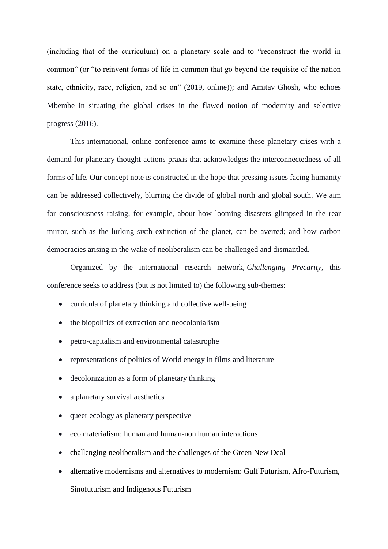(including that of the curriculum) on a planetary scale and to "reconstruct the world in common" (or "to reinvent forms of life in common that go beyond the requisite of the nation state, ethnicity, race, religion, and so on" (2019, online)); and Amitav Ghosh, who echoes Mbembe in situating the global crises in the flawed notion of modernity and selective progress (2016).

This international, online conference aims to examine these planetary crises with a demand for planetary thought-actions-praxis that acknowledges the interconnectedness of all forms of life. Our concept note is constructed in the hope that pressing issues facing humanity can be addressed collectively, blurring the divide of global north and global south. We aim for consciousness raising, for example, about how looming disasters glimpsed in the rear mirror, such as the lurking sixth extinction of the planet, can be averted; and how carbon democracies arising in the wake of neoliberalism can be challenged and dismantled.

Organized by the international research network, *Challenging Precarity*, this conference seeks to address (but is not limited to) the following sub-themes:

- curricula of planetary thinking and collective well-being
- the biopolitics of extraction and neocolonialism
- petro-capitalism and environmental catastrophe
- representations of politics of World energy in films and literature
- decolonization as a form of planetary thinking
- a planetary survival aesthetics
- queer ecology as planetary perspective
- eco materialism: human and human-non human interactions
- challenging neoliberalism and the challenges of the Green New Deal
- alternative modernisms and alternatives to modernism: Gulf Futurism, Afro-Futurism, Sinofuturism and Indigenous Futurism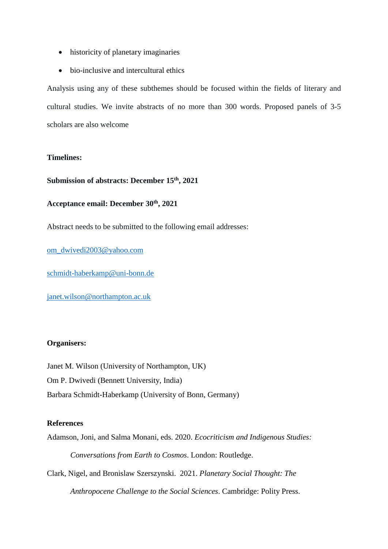- historicity of planetary imaginaries
- bio-inclusive and intercultural ethics

Analysis using any of these subthemes should be focused within the fields of literary and cultural studies. We invite abstracts of no more than 300 words. Proposed panels of 3-5 scholars are also welcome

# **Timelines:**

## **Submission of abstracts: December 15th , 2021**

# **Acceptance email: December 30th, 2021**

Abstract needs to be submitted to the following email addresses:

[om\\_dwivedi2003@yahoo.com](mailto:om_dwivedi2003@yahoo.com)

<schmidt-haberkamp@uni-bonn.de>

<janet.wilson@northampton.ac.uk>

## **Organisers:**

Janet M. Wilson (University of Northampton, UK) Om P. Dwivedi (Bennett University, India) Barbara Schmidt-Haberkamp (University of Bonn, Germany)

## **References**

Adamson, Joni, and Salma Monani, eds. 2020. *Ecocriticism and Indigenous Studies:*

*Conversations from Earth to Cosmos*. London: Routledge.

Clark, Nigel, and Bronislaw Szerszynski. 2021. *Planetary Social Thought: The*

*Anthropocene Challenge to the Social Sciences*. Cambridge: Polity Press.